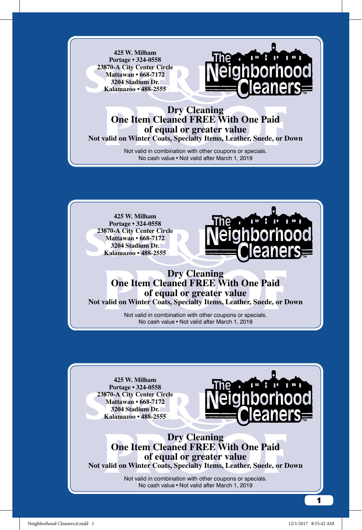**425 W. Milham Portage • 324-0558 23870-A City Center Circle Mattawan • 668-7172 3204 Stadium Dr. Kalamazoo • 488-2555**



## **Pry Cleaning<br>
One Item Cleaned FREE With One Paid<br>
of equal or greater value<br>
valid on Winter Coats, Specialty Items, Leather, Suede, or I<br>
Not valid in combination with other coupons or specials. Dry Cleaning One Item Cleaned FREE With One Paid of equal or greater value Not valid on Winter Coats, Specialty Items, Leather, Suede, or Down**

Not valid in combination with other coupons or specials.

No cash value•Not valid after March 1, 2019

**425 W. Milham Portage • 324-0558 23870-A City Center Circle Mattawan • 668-7172 3204 Stadium Dr. Kalamazoo • 488-2555**



## **Pry Cleaning<br>
One Item Cleaned FREE With One Paid<br>
of equal or greater value<br>
valid on Winter Coats, Specialty Items, Leather, Suede, or I<br>
Not valid in combination with other coupons or specials.<br>
No gets value a Net val Dry Cleaning One Item Cleaned FREE With One Paid of equal or greater value**

**Not valid on Winter Coats, Specialty Items, Leather, Suede, or Down**

Not valid in combination with other coupons or specials. No cash value•Not valid after March 1, 2019

**425 W. Milham Portage • 324-0558 23870-A City Center Circle Mattawan • 668-7172 3204 Stadium Dr. Kalamazoo • 488-2555**



**Pry Cleaning<br>
One Item Cleaned FREE With One Paid<br>
of equal or greater value<br>
valid on Winter Coats, Specialty Items, Leather, Suede, or I<br>
Not valid in combination with other coupons or specials.<br>
No gets value a Net val Dry Cleaning One Item Cleaned FREE With One Paid of equal or greater value Not valid on Winter Coats, Specialty Items, Leather, Suede, or Down**

Not valid in combination with other coupons or specials. No cash value • Not valid after March 1, 2019

1